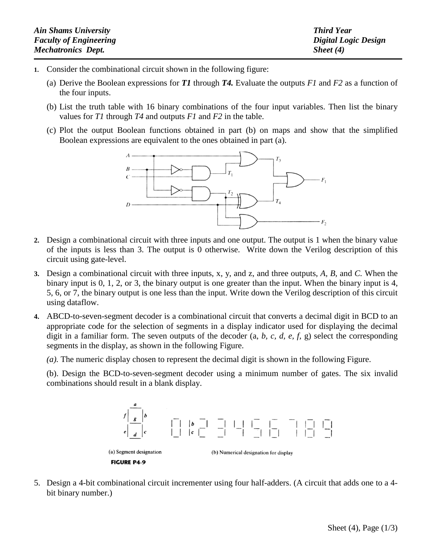| <b>Ain Shams University</b>   | <b>Third Year</b>    |
|-------------------------------|----------------------|
| <b>Faculty of Engineering</b> | Digital Logic Design |
| <b>Mechatronics Dept.</b>     | Sheet $(4)$          |

- **1.** Consider the combinational circuit shown in the following figure:
	- (a) Derive the Boolean expressions for *T1* through *T4.* Evaluate the outputs *F1* and *F2* as a function of the four inputs.
	- (b) List the truth table with 16 binary combinations of the four input variables. Then list the binary values for *T1* through *T4* and outputs *F1* and *F2* in the table.
	- (c) Plot the output Boolean functions obtained in part (b) on maps and show that the simplified Boolean expressions are equivalent to the ones obtained in part (a).



- **2.** Design a combinational circuit with three inputs and one output. The output is 1 when the binary value of the inputs is less than 3. The output is 0 otherwise. Write down the Verilog description of this circuit using gate-level.
- **3.** Design a combinational circuit with three inputs, x, y, and z, and three outputs, *A, B,* and *C.* When the binary input is 0, 1, 2, or 3, the binary output is one greater than the input. When the binary input is 4, 5, 6, or 7, the binary output is one less than the input. Write down the Verilog description of this circuit using dataflow.
- **4.** ABCD-to-seven-segment decoder is a combinational circuit that converts a decimal digit in BCD to an appropriate code for the selection of segments in a display indicator used for displaying the decimal digit in a familiar form. The seven outputs of the decoder (a, *b, c, d, e, f,* g) select the corresponding segments in the display, as shown in the following Figure.

*(a).* The numeric display chosen to represent the decimal digit is shown in the following Figure.

(b). Design the BCD-to-seven-segment decoder using a minimum number of gates. The six invalid combinations should result in a blank display.



5. Design a 4-bit combinational circuit incrementer using four half-adders. (A circuit that adds one to a 4 bit binary number.)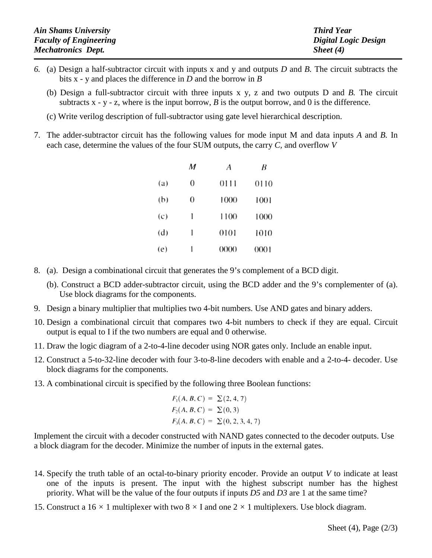| <b>Ain Shams University</b>   | <b>Third Year</b>           |
|-------------------------------|-----------------------------|
| <b>Faculty of Engineering</b> | <b>Digital Logic Design</b> |
| <b>Mechatronics Dept.</b>     | Sheet (4)                   |

- *6.* (a) Design a half-subtractor circuit with inputs x and y and outputs *D* and *B.* The circuit subtracts the bits x - y and places the difference in *D* and the borrow in *B*
	- (b) Design a full-subtractor circuit with three inputs x y, z and two outputs D and *B.* The circuit subtracts  $x - y - z$ , where is the input borrow, *B* is the output borrow, and 0 is the difference.
	- (c) Write verilog description of full-subtractor using gate level hierarchical description.
- 7. The adder-subtractor circuit has the following values for mode input M and data inputs *A* and *B.* In each case, determine the values of the four SUM outputs, the carry *C,* and overflow *V*

|     | $\boldsymbol{M}$ | A    | B    |
|-----|------------------|------|------|
| (a) | $\overline{0}$   | 0111 | 0110 |
| (b) | $\overline{0}$   | 1000 | 1001 |
| (c) | ı                | 1100 | 1000 |
| (d) | 1                | 0101 | 1010 |
| (e) |                  | 0000 | 0001 |

- 8. (a). Design a combinational circuit that generates the 9's complement of a BCD digit.
	- (b). Construct a BCD adder-subtractor circuit, using the BCD adder and the 9's cornplementer of (a). Use block diagrams for the components.
- 9. Design a binary multiplier that multiplies two 4-bit numbers. Use AND gates and binary adders.
- 10. Design a combinational circuit that compares two 4-bit numbers to check if they are equal. Circuit output is equal to I if the two numbers are equal and 0 otherwise.
- 11. Draw the logic diagram of a 2-to-4-line decoder using NOR gates only. Include an enable input.
- 12. Construct a 5-to-32-line decoder with four 3-to-8-line decoders with enable and a 2-to-4- decoder. Use block diagrams for the components.
- 13. A combinational circuit is specified by the following three Boolean functions:

$$
F_1(A, B, C) = \sum (2, 4, 7)
$$
  
\n
$$
F_2(A, B, C) = \sum (0, 3)
$$
  
\n
$$
F_3(A, B, C) = \sum (0, 2, 3, 4, 7)
$$

Implement the circuit with a decoder constructed with NAND gates connected to the decoder outputs. Use a block diagram for the decoder. Minimize the number of inputs in the external gates.

- 14. Specify the truth table of an octal-to-binary priority encoder. Provide an output *V* to indicate at least one of the inputs is present. The input with the highest subscript number has the highest priority. What will be the value of the four outputs if inputs *D5* and *D3* are 1 at the same time?
- 15. Construct a  $16 \times 1$  multiplexer with two  $8 \times 1$  and one  $2 \times 1$  multiplexers. Use block diagram.